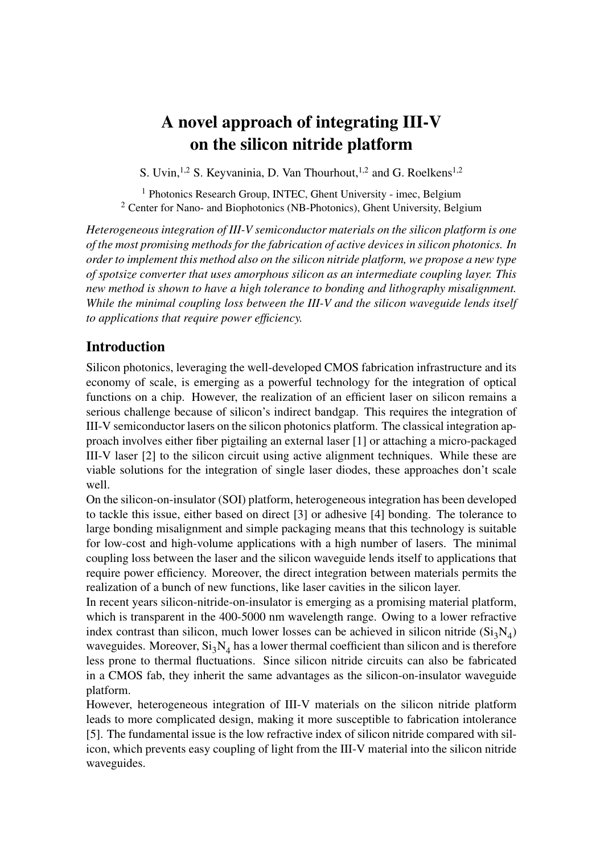# A novel approach of integrating III-V on the silicon nitride platform

S. Uvin, <sup>1,2</sup> S. Keyvaninia, D. Van Thourhout, <sup>1,2</sup> and G. Roelkens<sup>1,2</sup>

<sup>1</sup> Photonics Research Group, INTEC, Ghent University - imec, Belgium <sup>2</sup> Center for Nano- and Biophotonics (NB-Photonics), Ghent University, Belgium

*Heterogeneous integration of III-V semiconductor materials on the silicon platform is one of the most promising methods for the fabrication of active devices in silicon photonics. In order to implement this method also on the silicon nitride platform, we propose a new type of spotsize converter that uses amorphous silicon as an intermediate coupling layer. This new method is shown to have a high tolerance to bonding and lithography misalignment. While the minimal coupling loss between the III-V and the silicon waveguide lends itself to applications that require power efficiency.*

## Introduction

Silicon photonics, leveraging the well-developed CMOS fabrication infrastructure and its economy of scale, is emerging as a powerful technology for the integration of optical functions on a chip. However, the realization of an efficient laser on silicon remains a serious challenge because of silicon's indirect bandgap. This requires the integration of III-V semiconductor lasers on the silicon photonics platform. The classical integration approach involves either fiber pigtailing an external laser [1] or attaching a micro-packaged III-V laser [2] to the silicon circuit using active alignment techniques. While these are viable solutions for the integration of single laser diodes, these approaches don't scale well.

On the silicon-on-insulator (SOI) platform, heterogeneous integration has been developed to tackle this issue, either based on direct [3] or adhesive [4] bonding. The tolerance to large bonding misalignment and simple packaging means that this technology is suitable for low-cost and high-volume applications with a high number of lasers. The minimal coupling loss between the laser and the silicon waveguide lends itself to applications that require power efficiency. Moreover, the direct integration between materials permits the realization of a bunch of new functions, like laser cavities in the silicon layer.

In recent years silicon-nitride-on-insulator is emerging as a promising material platform, which is transparent in the 400-5000 nm wavelength range. Owing to a lower refractive index contrast than silicon, much lower losses can be achieved in silicon nitride  $(Si<sub>3</sub>N<sub>4</sub>)$ waveguides. Moreover,  $Si<sub>3</sub>N<sub>4</sub>$  has a lower thermal coefficient than silicon and is therefore less prone to thermal fluctuations. Since silicon nitride circuits can also be fabricated in a CMOS fab, they inherit the same advantages as the silicon-on-insulator waveguide platform.

However, heterogeneous integration of III-V materials on the silicon nitride platform leads to more complicated design, making it more susceptible to fabrication intolerance [5]. The fundamental issue is the low refractive index of silicon nitride compared with silicon, which prevents easy coupling of light from the III-V material into the silicon nitride waveguides.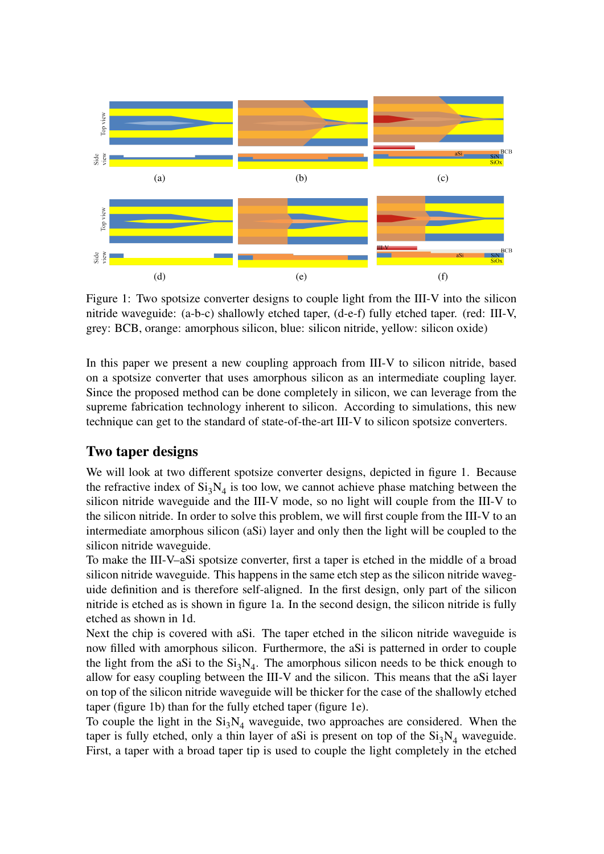

Figure 1: Two spotsize converter designs to couple light from the III-V into the silicon nitride waveguide: (a-b-c) shallowly etched taper, (d-e-f) fully etched taper. (red: III-V, grey: BCB, orange: amorphous silicon, blue: silicon nitride, yellow: silicon oxide)

In this paper we present a new coupling approach from III-V to silicon nitride, based on a spotsize converter that uses amorphous silicon as an intermediate coupling layer. Since the proposed method can be done completely in silicon, we can leverage from the supreme fabrication technology inherent to silicon. According to simulations, this new technique can get to the standard of state-of-the-art III-V to silicon spotsize converters.

## Two taper designs

We will look at two different spotsize converter designs, depicted in figure 1. Because the refractive index of  $Si<sub>3</sub>N<sub>4</sub>$  is too low, we cannot achieve phase matching between the silicon nitride waveguide and the III-V mode, so no light will couple from the III-V to the silicon nitride. In order to solve this problem, we will first couple from the III-V to an intermediate amorphous silicon (aSi) layer and only then the light will be coupled to the silicon nitride waveguide.

To make the III-V–aSi spotsize converter, first a taper is etched in the middle of a broad silicon nitride waveguide. This happens in the same etch step as the silicon nitride waveguide definition and is therefore self-aligned. In the first design, only part of the silicon nitride is etched as is shown in figure 1a. In the second design, the silicon nitride is fully etched as shown in 1d.

Next the chip is covered with aSi. The taper etched in the silicon nitride waveguide is now filled with amorphous silicon. Furthermore, the aSi is patterned in order to couple the light from the aSi to the  $Si<sub>3</sub>N<sub>4</sub>$ . The amorphous silicon needs to be thick enough to allow for easy coupling between the III-V and the silicon. This means that the aSi layer on top of the silicon nitride waveguide will be thicker for the case of the shallowly etched taper (figure 1b) than for the fully etched taper (figure 1e).

To couple the light in the  $Si_3N_4$  waveguide, two approaches are considered. When the taper is fully etched, only a thin layer of aSi is present on top of the  $Si<sub>3</sub>N<sub>4</sub>$  waveguide. First, a taper with a broad taper tip is used to couple the light completely in the etched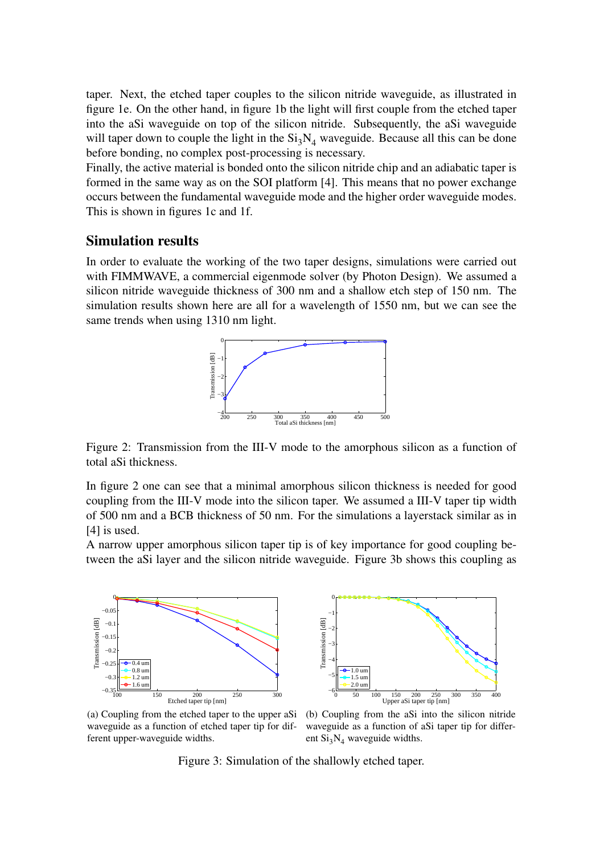taper. Next, the etched taper couples to the silicon nitride waveguide, as illustrated in figure 1e. On the other hand, in figure 1b the light will first couple from the etched taper into the aSi waveguide on top of the silicon nitride. Subsequently, the aSi waveguide will taper down to couple the light in the  $Si<sub>3</sub>N<sub>4</sub>$  waveguide. Because all this can be done before bonding, no complex post-processing is necessary.

Finally, the active material is bonded onto the silicon nitride chip and an adiabatic taper is formed in the same way as on the SOI platform [4]. This means that no power exchange occurs between the fundamental waveguide mode and the higher order waveguide modes. This is shown in figures 1c and 1f.

### Simulation results

In order to evaluate the working of the two taper designs, simulations were carried out with FIMMWAVE, a commercial eigenmode solver (by Photon Design). We assumed a silicon nitride waveguide thickness of 300 nm and a shallow etch step of 150 nm. The simulation results shown here are all for a wavelength of 1550 nm, but we can see the same trends when using 1310 nm light.



Figure 2: Transmission from the III-V mode to the amorphous silicon as a function of total aSi thickness.

In figure 2 one can see that a minimal amorphous silicon thickness is needed for good coupling from the III-V mode into the silicon taper. We assumed a III-V taper tip width of 500 nm and a BCB thickness of 50 nm. For the simulations a layerstack similar as in [4] is used.

A narrow upper amorphous silicon taper tip is of key importance for good coupling between the aSi layer and the silicon nitride waveguide. Figure 3b shows this coupling as





(a) Coupling from the etched taper to the upper aSi waveguide as a function of etched taper tip for different upper-waveguide widths.

(b) Coupling from the aSi into the silicon nitride waveguide as a function of aSi taper tip for different  $Si<sub>3</sub>N<sub>4</sub>$  waveguide widths.

Figure 3: Simulation of the shallowly etched taper.